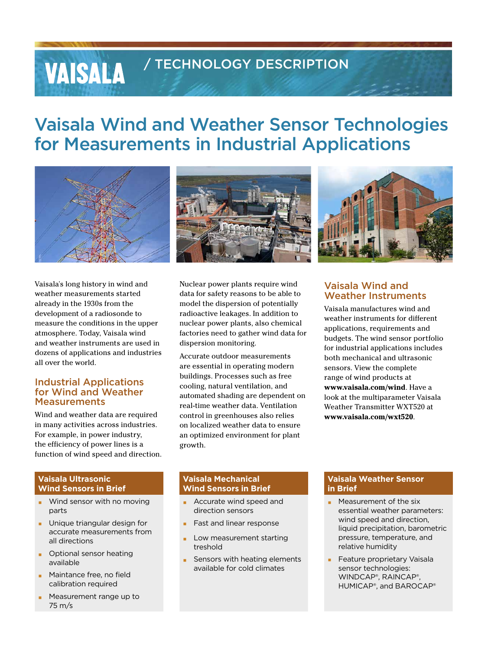# / TECHNOLOGY DESCRIPTION

# Vaisala Wind and Weather Sensor Technologies for Measurements in Industrial Applications



Vaisala's long history in wind and weather measurements started already in the 1930s from the development of a radiosonde to measure the conditions in the upper atmosphere. Today, Vaisala wind and weather instruments are used in dozens of applications and industries all over the world.

**VAISALA** 

#### Industrial Applications for Wind and Weather **Measurements**

Wind and weather data are required in many activities across industries. For example, in power industry, the efficiency of power lines is a function of wind speed and direction.

#### **Vaisala Ultrasonic Wind Sensors in Brief**

- Wind sensor with no moving parts
- Unique triangular design for accurate measurements from all directions
- **Optional sensor heating** available
- **EXEC** Maintance free, no field calibration required
- Measurement range up to 75 m/s

Nuclear power plants require wind data for safety reasons to be able to model the dispersion of potentially radioactive leakages. In addition to nuclear power plants, also chemical factories need to gather wind data for dispersion monitoring.

Accurate outdoor measurements are essential in operating modern buildings. Processes such as free cooling, natural ventilation, and automated shading are dependent on real-time weather data. Ventilation control in greenhouses also relies on localized weather data to ensure an optimized environment for plant growth.

#### Vaisala Wind and Weather Instruments

Vaisala manufactures wind and weather instruments for different applications, requirements and budgets. The wind sensor portfolio for industrial applications includes both mechanical and ultrasonic sensors. View the complete range of wind products at **www.vaisala.com/wind**. Have a look at the multiparameter Vaisala Weather Transmitter WXT520 at **www.vaisala.com/wxt520**.

#### **Vaisala Mechanical Wind Sensors in Brief**

- Accurate wind speed and direction sensors
- Fast and linear response
- Low measurement starting treshold
- Sensors with heating elements available for cold climates

#### **Vaisala Weather Sensor in Brief**

- Measurement of the six essential weather parameters: wind speed and direction, liquid precipitation, barometric pressure, temperature, and relative humidity
- Feature proprietary Vaisala sensor technologies: WINDCAP®, RAINCAP®, HUMICAP®, and BAROCAP®